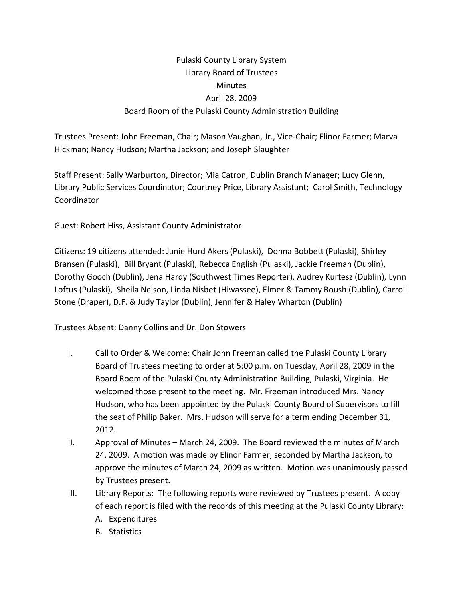## Pulaski County Library System Library Board of Trustees **Minutes** April 28, 2009 Board Room of the Pulaski County Administration Building

Trustees Present: John Freeman, Chair; Mason Vaughan, Jr., Vice‐Chair; Elinor Farmer; Marva Hickman; Nancy Hudson; Martha Jackson; and Joseph Slaughter

Staff Present: Sally Warburton, Director; Mia Catron, Dublin Branch Manager; Lucy Glenn, Library Public Services Coordinator; Courtney Price, Library Assistant; Carol Smith, Technology Coordinator

Guest: Robert Hiss, Assistant County Administrator

Citizens: 19 citizens attended: Janie Hurd Akers (Pulaski), Donna Bobbett (Pulaski), Shirley Bransen (Pulaski), Bill Bryant (Pulaski), Rebecca English (Pulaski), Jackie Freeman (Dublin), Dorothy Gooch (Dublin), Jena Hardy (Southwest Times Reporter), Audrey Kurtesz (Dublin), Lynn Loftus (Pulaski), Sheila Nelson, Linda Nisbet (Hiwassee), Elmer & Tammy Roush (Dublin), Carroll Stone (Draper), D.F. & Judy Taylor (Dublin), Jennifer & Haley Wharton (Dublin)

Trustees Absent: Danny Collins and Dr. Don Stowers

- I. Call to Order & Welcome: Chair John Freeman called the Pulaski County Library Board of Trustees meeting to order at 5:00 p.m. on Tuesday, April 28, 2009 in the Board Room of the Pulaski County Administration Building, Pulaski, Virginia. He welcomed those present to the meeting. Mr. Freeman introduced Mrs. Nancy Hudson, who has been appointed by the Pulaski County Board of Supervisors to fill the seat of Philip Baker. Mrs. Hudson will serve for a term ending December 31, 2012.
- II. Approval of Minutes March 24, 2009. The Board reviewed the minutes of March 24, 2009. A motion was made by Elinor Farmer, seconded by Martha Jackson, to approve the minutes of March 24, 2009 as written. Motion was unanimously passed by Trustees present.
- III. Library Reports: The following reports were reviewed by Trustees present. A copy of each report is filed with the records of this meeting at the Pulaski County Library:
	- A. Expenditures
	- B. Statistics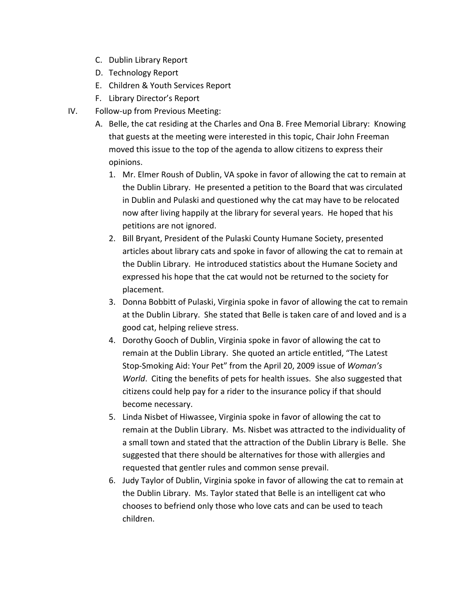- C. Dublin Library Report
- D. Technology Report
- E. Children & Youth Services Report
- F. Library Director's Report
- IV. Follow‐up from Previous Meeting:
	- A. Belle, the cat residing at the Charles and Ona B. Free Memorial Library: Knowing that guests at the meeting were interested in this topic, Chair John Freeman moved this issue to the top of the agenda to allow citizens to express their opinions.
		- 1. Mr. Elmer Roush of Dublin, VA spoke in favor of allowing the cat to remain at the Dublin Library. He presented a petition to the Board that was circulated in Dublin and Pulaski and questioned why the cat may have to be relocated now after living happily at the library for several years. He hoped that his petitions are not ignored.
		- 2. Bill Bryant, President of the Pulaski County Humane Society, presented articles about library cats and spoke in favor of allowing the cat to remain at the Dublin Library. He introduced statistics about the Humane Society and expressed his hope that the cat would not be returned to the society for placement.
		- 3. Donna Bobbitt of Pulaski, Virginia spoke in favor of allowing the cat to remain at the Dublin Library. She stated that Belle is taken care of and loved and is a good cat, helping relieve stress.
		- 4. Dorothy Gooch of Dublin, Virginia spoke in favor of allowing the cat to remain at the Dublin Library. She quoted an article entitled, "The Latest Stop‐Smoking Aid: Your Pet" from the April 20, 2009 issue of *Woman's World*. Citing the benefits of pets for health issues. She also suggested that citizens could help pay for a rider to the insurance policy if that should become necessary.
		- 5. Linda Nisbet of Hiwassee, Virginia spoke in favor of allowing the cat to remain at the Dublin Library. Ms. Nisbet was attracted to the individuality of a small town and stated that the attraction of the Dublin Library is Belle. She suggested that there should be alternatives for those with allergies and requested that gentler rules and common sense prevail.
		- 6. Judy Taylor of Dublin, Virginia spoke in favor of allowing the cat to remain at the Dublin Library. Ms. Taylor stated that Belle is an intelligent cat who chooses to befriend only those who love cats and can be used to teach children.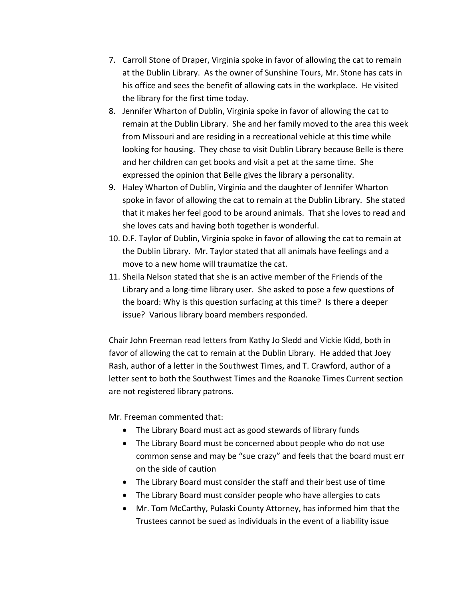- 7. Carroll Stone of Draper, Virginia spoke in favor of allowing the cat to remain at the Dublin Library. As the owner of Sunshine Tours, Mr. Stone has cats in his office and sees the benefit of allowing cats in the workplace. He visited the library for the first time today.
- 8. Jennifer Wharton of Dublin, Virginia spoke in favor of allowing the cat to remain at the Dublin Library. She and her family moved to the area this week from Missouri and are residing in a recreational vehicle at this time while looking for housing. They chose to visit Dublin Library because Belle is there and her children can get books and visit a pet at the same time. She expressed the opinion that Belle gives the library a personality.
- 9. Haley Wharton of Dublin, Virginia and the daughter of Jennifer Wharton spoke in favor of allowing the cat to remain at the Dublin Library. She stated that it makes her feel good to be around animals. That she loves to read and she loves cats and having both together is wonderful.
- 10. D.F. Taylor of Dublin, Virginia spoke in favor of allowing the cat to remain at the Dublin Library. Mr. Taylor stated that all animals have feelings and a move to a new home will traumatize the cat.
- 11. Sheila Nelson stated that she is an active member of the Friends of the Library and a long‐time library user. She asked to pose a few questions of the board: Why is this question surfacing at this time? Is there a deeper issue? Various library board members responded.

Chair John Freeman read letters from Kathy Jo Sledd and Vickie Kidd, both in favor of allowing the cat to remain at the Dublin Library. He added that Joey Rash, author of a letter in the Southwest Times, and T. Crawford, author of a letter sent to both the Southwest Times and the Roanoke Times Current section are not registered library patrons.

Mr. Freeman commented that:

- The Library Board must act as good stewards of library funds
- The Library Board must be concerned about people who do not use common sense and may be "sue crazy" and feels that the board must err on the side of caution
- The Library Board must consider the staff and their best use of time
- The Library Board must consider people who have allergies to cats
- Mr. Tom McCarthy, Pulaski County Attorney, has informed him that the Trustees cannot be sued as individuals in the event of a liability issue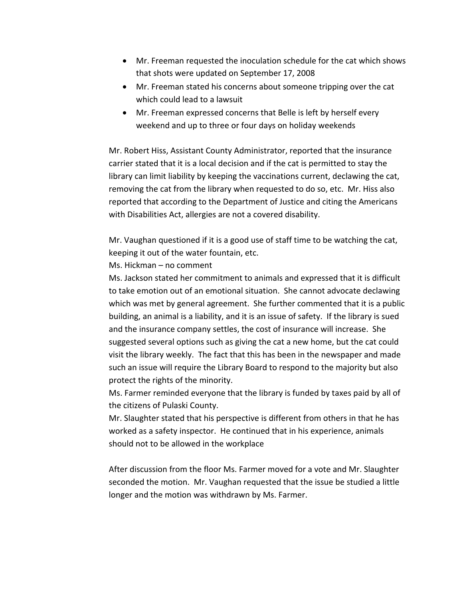- Mr. Freeman requested the inoculation schedule for the cat which shows that shots were updated on September 17, 2008
- Mr. Freeman stated his concerns about someone tripping over the cat which could lead to a lawsuit
- Mr. Freeman expressed concerns that Belle is left by herself every weekend and up to three or four days on holiday weekends

Mr. Robert Hiss, Assistant County Administrator, reported that the insurance carrier stated that it is a local decision and if the cat is permitted to stay the library can limit liability by keeping the vaccinations current, declawing the cat, removing the cat from the library when requested to do so, etc. Mr. Hiss also reported that according to the Department of Justice and citing the Americans with Disabilities Act, allergies are not a covered disability.

Mr. Vaughan questioned if it is a good use of staff time to be watching the cat, keeping it out of the water fountain, etc.

Ms. Hickman – no comment

Ms. Jackson stated her commitment to animals and expressed that it is difficult to take emotion out of an emotional situation. She cannot advocate declawing which was met by general agreement. She further commented that it is a public building, an animal is a liability, and it is an issue of safety. If the library is sued and the insurance company settles, the cost of insurance will increase. She suggested several options such as giving the cat a new home, but the cat could visit the library weekly. The fact that this has been in the newspaper and made such an issue will require the Library Board to respond to the majority but also protect the rights of the minority.

Ms. Farmer reminded everyone that the library is funded by taxes paid by all of the citizens of Pulaski County.

Mr. Slaughter stated that his perspective is different from others in that he has worked as a safety inspector. He continued that in his experience, animals should not to be allowed in the workplace

After discussion from the floor Ms. Farmer moved for a vote and Mr. Slaughter seconded the motion. Mr. Vaughan requested that the issue be studied a little longer and the motion was withdrawn by Ms. Farmer.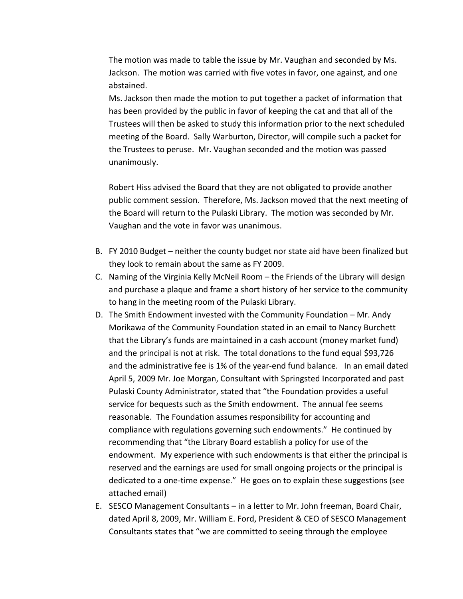The motion was made to table the issue by Mr. Vaughan and seconded by Ms. Jackson. The motion was carried with five votes in favor, one against, and one abstained.

Ms. Jackson then made the motion to put together a packet of information that has been provided by the public in favor of keeping the cat and that all of the Trustees will then be asked to study this information prior to the next scheduled meeting of the Board. Sally Warburton, Director, will compile such a packet for the Trustees to peruse. Mr. Vaughan seconded and the motion was passed unanimously.

Robert Hiss advised the Board that they are not obligated to provide another public comment session. Therefore, Ms. Jackson moved that the next meeting of the Board will return to the Pulaski Library. The motion was seconded by Mr. Vaughan and the vote in favor was unanimous.

- B. FY 2010 Budget neither the county budget nor state aid have been finalized but they look to remain about the same as FY 2009.
- C. Naming of the Virginia Kelly McNeil Room the Friends of the Library will design and purchase a plaque and frame a short history of her service to the community to hang in the meeting room of the Pulaski Library.
- D. The Smith Endowment invested with the Community Foundation Mr. Andy Morikawa of the Community Foundation stated in an email to Nancy Burchett that the Library's funds are maintained in a cash account (money market fund) and the principal is not at risk. The total donations to the fund equal \$93,726 and the administrative fee is 1% of the year-end fund balance. In an email dated April 5, 2009 Mr. Joe Morgan, Consultant with Springsted Incorporated and past Pulaski County Administrator, stated that "the Foundation provides a useful service for bequests such as the Smith endowment. The annual fee seems reasonable. The Foundation assumes responsibility for accounting and compliance with regulations governing such endowments." He continued by recommending that "the Library Board establish a policy for use of the endowment. My experience with such endowments is that either the principal is reserved and the earnings are used for small ongoing projects or the principal is dedicated to a one‐time expense." He goes on to explain these suggestions (see attached email)
- E. SESCO Management Consultants in a letter to Mr. John freeman, Board Chair, dated April 8, 2009, Mr. William E. Ford, President & CEO of SESCO Management Consultants states that "we are committed to seeing through the employee